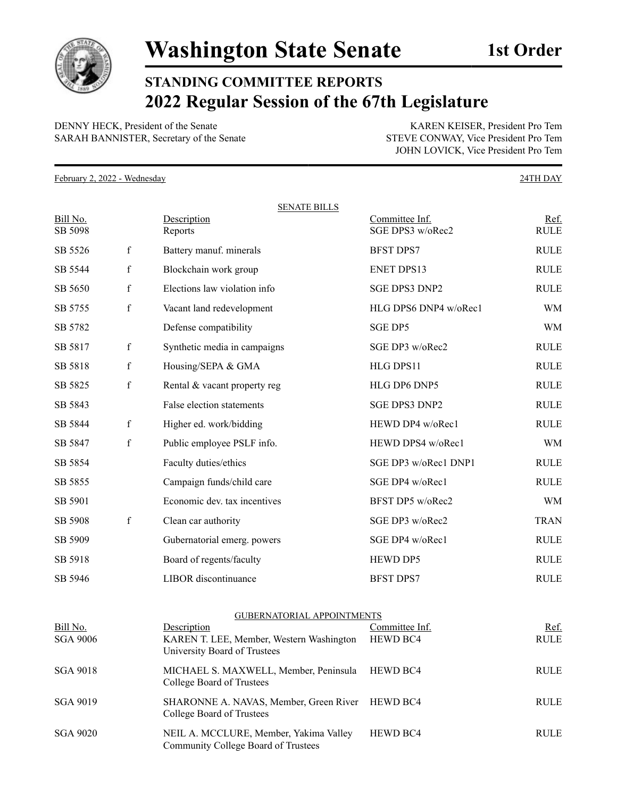

**STANDING COMMITTEE REPORTS 2022 Regular Session of the 67th Legislature**

DENNY HECK, President of the Senate KAREN KEISER, President Pro Tem SARAH BANNISTER, Secretary of the Senate STEVE CONWAY, Vice President Pro Tem

JOHN LOVICK, Vice President Pro Tem

HEWD BC4 RULE

February 2, 2022 - Wednesday 24TH DAY

| <b>SENATE BILLS</b>         |              |                                                                     |                                    |                     |
|-----------------------------|--------------|---------------------------------------------------------------------|------------------------------------|---------------------|
| Bill No.<br>SB 5098         |              | Description<br>Reports                                              | Committee Inf.<br>SGE DPS3 w/oRec2 | Ref.<br><b>RULE</b> |
| SB 5526                     | $\mathbf{f}$ | Battery manuf. minerals                                             | <b>BFST DPS7</b>                   | <b>RULE</b>         |
| SB 5544                     | f            | Blockchain work group                                               | <b>ENET DPS13</b>                  | <b>RULE</b>         |
| SB 5650                     | f            | Elections law violation info                                        | <b>SGE DPS3 DNP2</b>               | <b>RULE</b>         |
| SB 5755                     | f            | Vacant land redevelopment                                           | HLG DPS6 DNP4 w/oRec1              | WM                  |
| SB 5782                     |              | Defense compatibility                                               | SGE DP5                            | WM                  |
| SB 5817                     | $\mathbf f$  | Synthetic media in campaigns                                        | SGE DP3 w/oRec2                    | <b>RULE</b>         |
| SB 5818                     | $\mathbf f$  | Housing/SEPA & GMA                                                  | HLG DPS11                          | <b>RULE</b>         |
| SB 5825                     | f            | Rental & vacant property reg                                        | HLG DP6 DNP5                       | <b>RULE</b>         |
| SB 5843                     |              | False election statements                                           | <b>SGE DPS3 DNP2</b>               | <b>RULE</b>         |
| SB 5844                     | f            | Higher ed. work/bidding                                             | HEWD DP4 w/oRec1                   | <b>RULE</b>         |
| SB 5847                     | $\mathbf f$  | Public employee PSLF info.                                          | HEWD DPS4 w/oRec1                  | WM                  |
| SB 5854                     |              | Faculty duties/ethics                                               | SGE DP3 w/oRec1 DNP1               | <b>RULE</b>         |
| SB 5855                     |              | Campaign funds/child care                                           | SGE DP4 w/oRec1                    | <b>RULE</b>         |
| SB 5901                     |              | Economic dev. tax incentives                                        | BFST DP5 w/oRec2                   | WM                  |
| SB 5908                     | f            | Clean car authority                                                 | SGE DP3 w/oRec2                    | <b>TRAN</b>         |
| SB 5909                     |              | Gubernatorial emerg. powers                                         | SGE DP4 w/oRec1                    | <b>RULE</b>         |
| SB 5918                     |              | Board of regents/faculty                                            | HEWD DP5                           | <b>RULE</b>         |
| SB 5946                     |              | LIBOR discontinuance                                                | <b>BFST DPS7</b>                   | <b>RULE</b>         |
|                             |              | GUBERNATORIAL APPOINTMENTS                                          |                                    |                     |
| Bill No.<br><b>SGA 9006</b> |              | Description<br>KAREN T. LEE, Member, Western Washington             | Committee Inf.<br><b>HEWD BC4</b>  | Ref.<br><b>RULE</b> |
|                             |              | University Board of Trustees                                        |                                    |                     |
| SGA 9018                    |              | MICHAEL S. MAXWELL, Member, Peninsula<br>College Board of Trustees  | <b>HEWD BC4</b>                    | <b>RULE</b>         |
| SGA 9019                    |              | SHARONNE A. NAVAS, Member, Green River<br>College Board of Trustees | HEWD BC4                           | <b>RULE</b>         |

SGA 9020 NEIL A. MCCLURE, Member, Yakima Valley

Community College Board of Trustees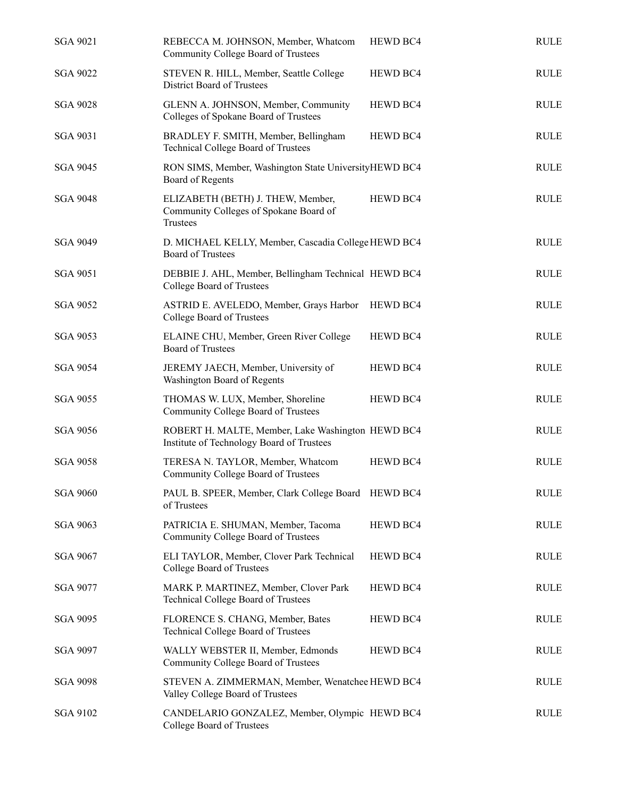| <b>SGA 9021</b> | REBECCA M. JOHNSON, Member, Whatcom<br>Community College Board of Trustees                     | <b>HEWD BC4</b> | <b>RULE</b> |
|-----------------|------------------------------------------------------------------------------------------------|-----------------|-------------|
| <b>SGA 9022</b> | STEVEN R. HILL, Member, Seattle College<br>District Board of Trustees                          | HEWD BC4        | <b>RULE</b> |
| <b>SGA 9028</b> | GLENN A. JOHNSON, Member, Community<br>Colleges of Spokane Board of Trustees                   | HEWD BC4        | <b>RULE</b> |
| <b>SGA 9031</b> | BRADLEY F. SMITH, Member, Bellingham<br>Technical College Board of Trustees                    | HEWD BC4        | <b>RULE</b> |
| SGA 9045        | RON SIMS, Member, Washington State UniversityHEWD BC4<br>Board of Regents                      |                 | <b>RULE</b> |
| <b>SGA 9048</b> | ELIZABETH (BETH) J. THEW, Member,<br>Community Colleges of Spokane Board of<br>Trustees        | HEWD BC4        | <b>RULE</b> |
| <b>SGA 9049</b> | D. MICHAEL KELLY, Member, Cascadia College HEWD BC4<br><b>Board of Trustees</b>                |                 | <b>RULE</b> |
| SGA 9051        | DEBBIE J. AHL, Member, Bellingham Technical HEWD BC4<br>College Board of Trustees              |                 | <b>RULE</b> |
| <b>SGA 9052</b> | ASTRID E. AVELEDO, Member, Grays Harbor<br>College Board of Trustees                           | <b>HEWD BC4</b> | <b>RULE</b> |
| SGA 9053        | ELAINE CHU, Member, Green River College<br><b>Board of Trustees</b>                            | HEWD BC4        | <b>RULE</b> |
| <b>SGA 9054</b> | JEREMY JAECH, Member, University of<br>Washington Board of Regents                             | HEWD BC4        | <b>RULE</b> |
| SGA 9055        | THOMAS W. LUX, Member, Shoreline<br>Community College Board of Trustees                        | HEWD BC4        | <b>RULE</b> |
| <b>SGA 9056</b> | ROBERT H. MALTE, Member, Lake Washington HEWD BC4<br>Institute of Technology Board of Trustees |                 | <b>RULE</b> |
| <b>SGA 9058</b> | TERESA N. TAYLOR, Member, Whatcom<br>Community College Board of Trustees                       | HEWD BC4        | <b>RULE</b> |
| <b>SGA 9060</b> | PAUL B. SPEER, Member, Clark College Board HEWD BC4<br>of Trustees                             |                 | <b>RULE</b> |
| SGA 9063        | PATRICIA E. SHUMAN, Member, Tacoma<br>Community College Board of Trustees                      | HEWD BC4        | <b>RULE</b> |
| <b>SGA 9067</b> | ELI TAYLOR, Member, Clover Park Technical<br>College Board of Trustees                         | <b>HEWD BC4</b> | <b>RULE</b> |
| <b>SGA 9077</b> | MARK P. MARTINEZ, Member, Clover Park<br>Technical College Board of Trustees                   | <b>HEWD BC4</b> | <b>RULE</b> |
| <b>SGA 9095</b> | FLORENCE S. CHANG, Member, Bates<br>Technical College Board of Trustees                        | HEWD BC4        | <b>RULE</b> |
| <b>SGA 9097</b> | WALLY WEBSTER II, Member, Edmonds<br>Community College Board of Trustees                       | HEWD BC4        | <b>RULE</b> |
| <b>SGA 9098</b> | STEVEN A. ZIMMERMAN, Member, Wenatchee HEWD BC4<br>Valley College Board of Trustees            |                 | <b>RULE</b> |
| SGA 9102        | CANDELARIO GONZALEZ, Member, Olympic HEWD BC4<br>College Board of Trustees                     |                 | <b>RULE</b> |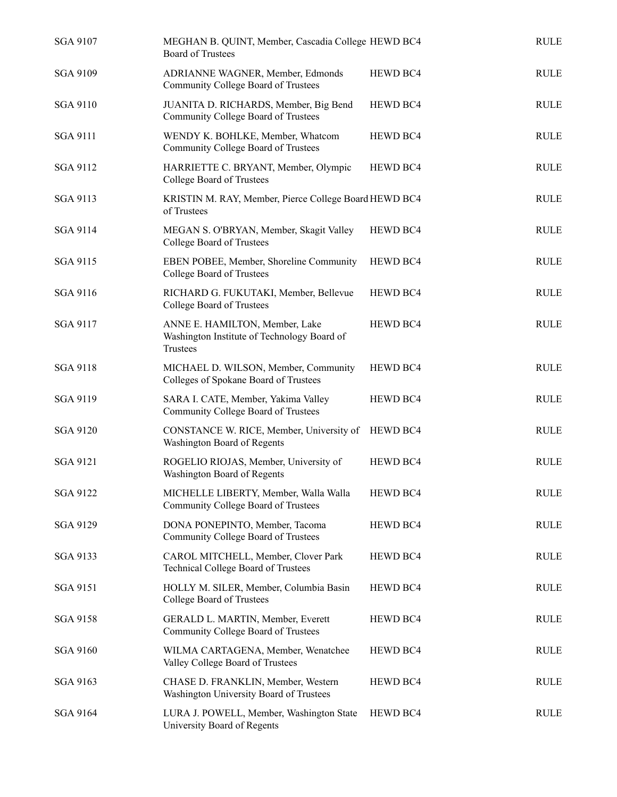| SGA 9107        | MEGHAN B. QUINT, Member, Cascadia College HEWD BC4<br><b>Board of Trustees</b>            |                 | <b>RULE</b> |
|-----------------|-------------------------------------------------------------------------------------------|-----------------|-------------|
| SGA 9109        | ADRIANNE WAGNER, Member, Edmonds<br>Community College Board of Trustees                   | <b>HEWD BC4</b> | <b>RULE</b> |
| SGA 9110        | JUANITA D. RICHARDS, Member, Big Bend<br>Community College Board of Trustees              | <b>HEWD BC4</b> | <b>RULE</b> |
| SGA 9111        | WENDY K. BOHLKE, Member, Whatcom<br>Community College Board of Trustees                   | <b>HEWD BC4</b> | <b>RULE</b> |
| <b>SGA 9112</b> | HARRIETTE C. BRYANT, Member, Olympic<br>College Board of Trustees                         | HEWD BC4        | <b>RULE</b> |
| SGA 9113        | KRISTIN M. RAY, Member, Pierce College Board HEWD BC4<br>of Trustees                      |                 | <b>RULE</b> |
| SGA 9114        | MEGAN S. O'BRYAN, Member, Skagit Valley<br>College Board of Trustees                      | <b>HEWD BC4</b> | <b>RULE</b> |
| SGA 9115        | EBEN POBEE, Member, Shoreline Community<br>College Board of Trustees                      | HEWD BC4        | <b>RULE</b> |
| SGA 9116        | RICHARD G. FUKUTAKI, Member, Bellevue<br>College Board of Trustees                        | <b>HEWD BC4</b> | <b>RULE</b> |
| SGA 9117        | ANNE E. HAMILTON, Member, Lake<br>Washington Institute of Technology Board of<br>Trustees | HEWD BC4        | <b>RULE</b> |
| <b>SGA 9118</b> | MICHAEL D. WILSON, Member, Community<br>Colleges of Spokane Board of Trustees             | <b>HEWD BC4</b> | <b>RULE</b> |
| SGA 9119        | SARA I. CATE, Member, Yakima Valley<br>Community College Board of Trustees                | HEWD BC4        | <b>RULE</b> |
| SGA 9120        | CONSTANCE W. RICE, Member, University of<br>Washington Board of Regents                   | HEWD BC4        | <b>RULE</b> |
| SGA 9121        | ROGELIO RIOJAS, Member, University of<br>Washington Board of Regents                      | <b>HEWD BC4</b> | <b>RULE</b> |
| SGA 9122        | MICHELLE LIBERTY, Member, Walla Walla<br>Community College Board of Trustees              | HEWD BC4        | <b>RULE</b> |
| <b>SGA 9129</b> | DONA PONEPINTO, Member, Tacoma<br>Community College Board of Trustees                     | HEWD BC4        | <b>RULE</b> |
| SGA 9133        | CAROL MITCHELL, Member, Clover Park<br>Technical College Board of Trustees                | HEWD BC4        | <b>RULE</b> |
| SGA 9151        | HOLLY M. SILER, Member, Columbia Basin<br>College Board of Trustees                       | HEWD BC4        | <b>RULE</b> |
| SGA 9158        | GERALD L. MARTIN, Member, Everett<br>Community College Board of Trustees                  | HEWD BC4        | <b>RULE</b> |
| <b>SGA 9160</b> | WILMA CARTAGENA, Member, Wenatchee<br>Valley College Board of Trustees                    | HEWD BC4        | <b>RULE</b> |
| SGA 9163        | CHASE D. FRANKLIN, Member, Western<br>Washington University Board of Trustees             | HEWD BC4        | <b>RULE</b> |
| SGA 9164        | LURA J. POWELL, Member, Washington State<br>University Board of Regents                   | <b>HEWD BC4</b> | <b>RULE</b> |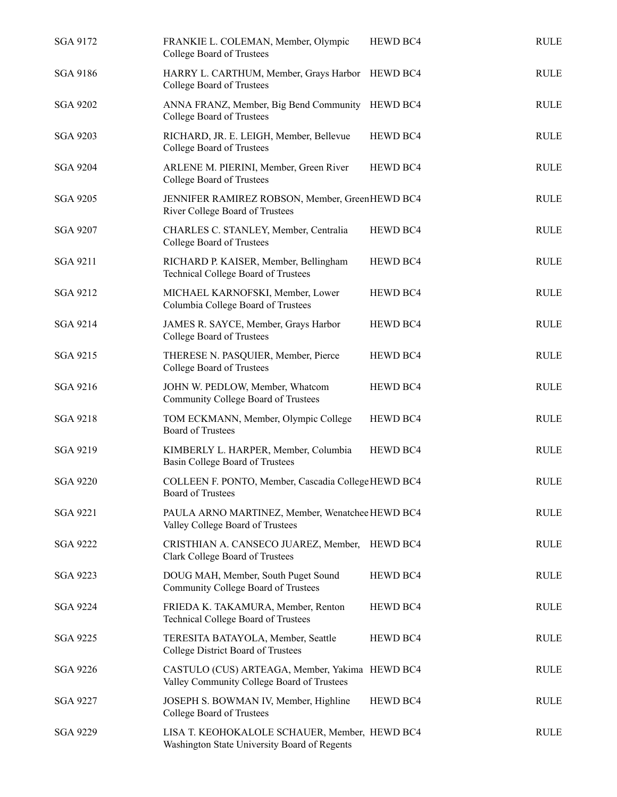| SGA 9172        | FRANKIE L. COLEMAN, Member, Olympic<br>College Board of Trustees                              | HEWD BC4        | <b>RULE</b> |
|-----------------|-----------------------------------------------------------------------------------------------|-----------------|-------------|
| SGA 9186        | HARRY L. CARTHUM, Member, Grays Harbor HEWD BC4<br>College Board of Trustees                  |                 | <b>RULE</b> |
| <b>SGA 9202</b> | ANNA FRANZ, Member, Big Bend Community HEWD BC4<br>College Board of Trustees                  |                 | <b>RULE</b> |
| SGA 9203        | RICHARD, JR. E. LEIGH, Member, Bellevue<br>College Board of Trustees                          | HEWD BC4        | <b>RULE</b> |
| <b>SGA 9204</b> | ARLENE M. PIERINI, Member, Green River<br>College Board of Trustees                           | <b>HEWD BC4</b> | <b>RULE</b> |
| SGA 9205        | JENNIFER RAMIREZ ROBSON, Member, GreenHEWD BC4<br>River College Board of Trustees             |                 | <b>RULE</b> |
| <b>SGA 9207</b> | CHARLES C. STANLEY, Member, Centralia<br>College Board of Trustees                            | HEWD BC4        | <b>RULE</b> |
| SGA 9211        | RICHARD P. KAISER, Member, Bellingham<br>Technical College Board of Trustees                  | HEWD BC4        | <b>RULE</b> |
| SGA 9212        | MICHAEL KARNOFSKI, Member, Lower<br>Columbia College Board of Trustees                        | HEWD BC4        | <b>RULE</b> |
| SGA 9214        | JAMES R. SAYCE, Member, Grays Harbor<br>College Board of Trustees                             | HEWD BC4        | <b>RULE</b> |
| SGA 9215        | THERESE N. PASQUIER, Member, Pierce<br>College Board of Trustees                              | HEWD BC4        | <b>RULE</b> |
| SGA 9216        | JOHN W. PEDLOW, Member, Whatcom<br>Community College Board of Trustees                        | HEWD BC4        | <b>RULE</b> |
| SGA 9218        | TOM ECKMANN, Member, Olympic College<br><b>Board of Trustees</b>                              | HEWD BC4        | <b>RULE</b> |
| SGA 9219        | KIMBERLY L. HARPER, Member, Columbia<br>Basin College Board of Trustees                       | <b>HEWD BC4</b> | <b>RULE</b> |
| <b>SGA 9220</b> | COLLEEN F. PONTO, Member, Cascadia College HEWD BC4<br><b>Board of Trustees</b>               |                 | <b>RULE</b> |
| <b>SGA 9221</b> | PAULA ARNO MARTINEZ, Member, Wenatchee HEWD BC4<br>Valley College Board of Trustees           |                 | <b>RULE</b> |
| <b>SGA 9222</b> | CRISTHIAN A. CANSECO JUAREZ, Member,<br>Clark College Board of Trustees                       | HEWD BC4        | <b>RULE</b> |
| SGA 9223        | DOUG MAH, Member, South Puget Sound<br>Community College Board of Trustees                    | <b>HEWD BC4</b> | <b>RULE</b> |
| SGA 9224        | FRIEDA K. TAKAMURA, Member, Renton<br>Technical College Board of Trustees                     | HEWD BC4        | <b>RULE</b> |
| SGA 9225        | TERESITA BATAYOLA, Member, Seattle<br>College District Board of Trustees                      | <b>HEWD BC4</b> | <b>RULE</b> |
| SGA 9226        | CASTULO (CUS) ARTEAGA, Member, Yakima HEWD BC4<br>Valley Community College Board of Trustees  |                 | <b>RULE</b> |
| <b>SGA 9227</b> | JOSEPH S. BOWMAN IV, Member, Highline<br>College Board of Trustees                            | <b>HEWD BC4</b> | <b>RULE</b> |
| SGA 9229        | LISA T. KEOHOKALOLE SCHAUER, Member, HEWD BC4<br>Washington State University Board of Regents |                 | <b>RULE</b> |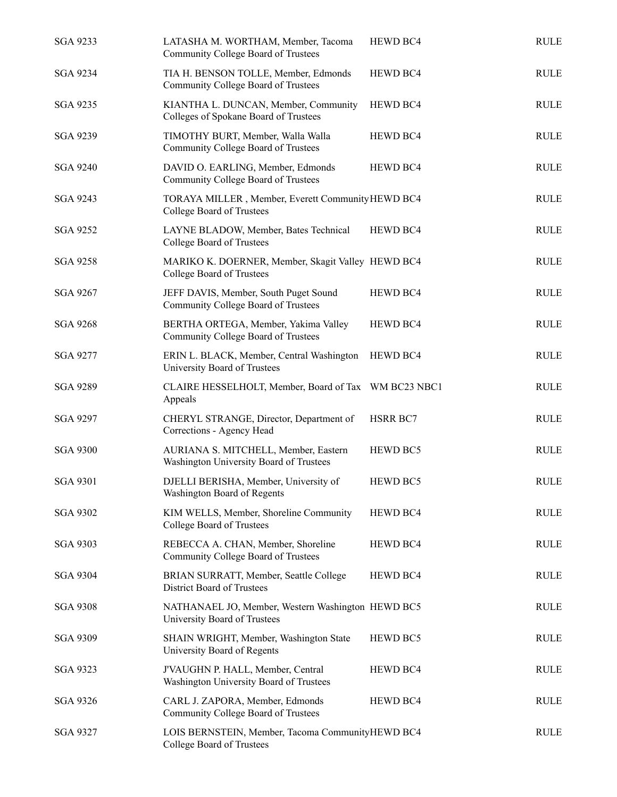| SGA 9233        | LATASHA M. WORTHAM, Member, Tacoma<br>Community College Board of Trustees         | <b>HEWD BC4</b> | <b>RULE</b> |
|-----------------|-----------------------------------------------------------------------------------|-----------------|-------------|
| SGA 9234        | TIA H. BENSON TOLLE, Member, Edmonds<br>Community College Board of Trustees       | HEWD BC4        | <b>RULE</b> |
| SGA 9235        | KIANTHA L. DUNCAN, Member, Community<br>Colleges of Spokane Board of Trustees     | HEWD BC4        | <b>RULE</b> |
| SGA 9239        | TIMOTHY BURT, Member, Walla Walla<br>Community College Board of Trustees          | HEWD BC4        | <b>RULE</b> |
| SGA 9240        | DAVID O. EARLING, Member, Edmonds<br>Community College Board of Trustees          | <b>HEWD BC4</b> | <b>RULE</b> |
| SGA 9243        | TORAYA MILLER, Member, Everett Community HEWD BC4<br>College Board of Trustees    |                 | <b>RULE</b> |
| SGA 9252        | LAYNE BLADOW, Member, Bates Technical<br>College Board of Trustees                | HEWD BC4        | <b>RULE</b> |
| SGA 9258        | MARIKO K. DOERNER, Member, Skagit Valley HEWD BC4<br>College Board of Trustees    |                 | <b>RULE</b> |
| SGA 9267        | JEFF DAVIS, Member, South Puget Sound<br>Community College Board of Trustees      | HEWD BC4        | <b>RULE</b> |
| <b>SGA 9268</b> | BERTHA ORTEGA, Member, Yakima Valley<br>Community College Board of Trustees       | HEWD BC4        | <b>RULE</b> |
| SGA 9277        | ERIN L. BLACK, Member, Central Washington<br>University Board of Trustees         | HEWD BC4        | <b>RULE</b> |
| SGA 9289        | CLAIRE HESSELHOLT, Member, Board of Tax WM BC23 NBC1<br>Appeals                   |                 | <b>RULE</b> |
| SGA 9297        | CHERYL STRANGE, Director, Department of<br>Corrections - Agency Head              | HSRR BC7        | <b>RULE</b> |
| <b>SGA 9300</b> | AURIANA S. MITCHELL, Member, Eastern<br>Washington University Board of Trustees   | HEWD BC5        | <b>RULE</b> |
| <b>SGA 9301</b> | DJELLI BERISHA, Member, University of<br>Washington Board of Regents              | HEWD BC5        | <b>RULE</b> |
| <b>SGA 9302</b> | KIM WELLS, Member, Shoreline Community<br>College Board of Trustees               | <b>HEWD BC4</b> | <b>RULE</b> |
| <b>SGA 9303</b> | REBECCA A. CHAN, Member, Shoreline<br>Community College Board of Trustees         | <b>HEWD BC4</b> | <b>RULE</b> |
| <b>SGA 9304</b> | BRIAN SURRATT, Member, Seattle College<br>District Board of Trustees              | <b>HEWD BC4</b> | <b>RULE</b> |
| <b>SGA 9308</b> | NATHANAEL JO, Member, Western Washington HEWD BC5<br>University Board of Trustees |                 | <b>RULE</b> |
| <b>SGA 9309</b> | SHAIN WRIGHT, Member, Washington State<br>University Board of Regents             | HEWD BC5        | <b>RULE</b> |
| SGA 9323        | J'VAUGHN P. HALL, Member, Central<br>Washington University Board of Trustees      | HEWD BC4        | <b>RULE</b> |
| SGA 9326        | CARL J. ZAPORA, Member, Edmonds<br>Community College Board of Trustees            | <b>HEWD BC4</b> | <b>RULE</b> |
| <b>SGA 9327</b> | LOIS BERNSTEIN, Member, Tacoma CommunityHEWD BC4<br>College Board of Trustees     |                 | <b>RULE</b> |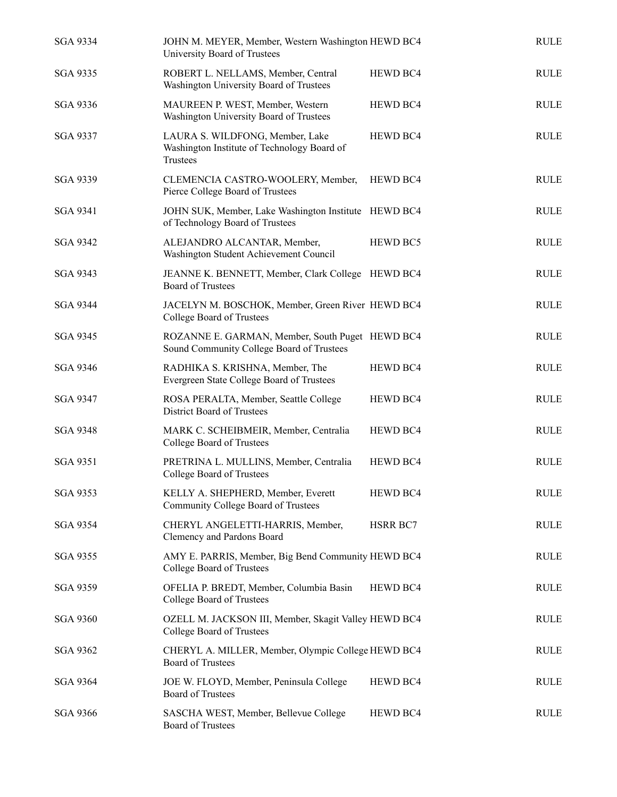| SGA 9334        | JOHN M. MEYER, Member, Western Washington HEWD BC4<br>University Board of Trustees           |                 | <b>RULE</b> |
|-----------------|----------------------------------------------------------------------------------------------|-----------------|-------------|
| SGA 9335        | ROBERT L. NELLAMS, Member, Central<br>Washington University Board of Trustees                | HEWD BC4        | <b>RULE</b> |
| SGA 9336        | MAUREEN P. WEST, Member, Western<br>Washington University Board of Trustees                  | HEWD BC4        | <b>RULE</b> |
| SGA 9337        | LAURA S. WILDFONG, Member, Lake<br>Washington Institute of Technology Board of<br>Trustees   | HEWD BC4        | <b>RULE</b> |
| SGA 9339        | CLEMENCIA CASTRO-WOOLERY, Member,<br>Pierce College Board of Trustees                        | <b>HEWD BC4</b> | <b>RULE</b> |
| SGA 9341        | JOHN SUK, Member, Lake Washington Institute HEWD BC4<br>of Technology Board of Trustees      |                 | <b>RULE</b> |
| SGA 9342        | ALEJANDRO ALCANTAR, Member,<br>Washington Student Achievement Council                        | <b>HEWD BC5</b> | <b>RULE</b> |
| SGA 9343        | JEANNE K. BENNETT, Member, Clark College HEWD BC4<br><b>Board of Trustees</b>                |                 | <b>RULE</b> |
| <b>SGA 9344</b> | JACELYN M. BOSCHOK, Member, Green River HEWD BC4<br>College Board of Trustees                |                 | <b>RULE</b> |
| SGA 9345        | ROZANNE E. GARMAN, Member, South Puget HEWD BC4<br>Sound Community College Board of Trustees |                 | <b>RULE</b> |
| SGA 9346        | RADHIKA S. KRISHNA, Member, The<br>Evergreen State College Board of Trustees                 | HEWD BC4        | <b>RULE</b> |
| SGA 9347        | ROSA PERALTA, Member, Seattle College<br><b>District Board of Trustees</b>                   | <b>HEWD BC4</b> | <b>RULE</b> |
| <b>SGA 9348</b> | MARK C. SCHEIBMEIR, Member, Centralia<br>College Board of Trustees                           | <b>HEWD BC4</b> | <b>RULE</b> |
| SGA 9351        | PRETRINA L. MULLINS, Member, Centralia<br>College Board of Trustees                          | <b>HEWD BC4</b> | <b>RULE</b> |
| SGA 9353        | KELLY A. SHEPHERD, Member, Everett<br>Community College Board of Trustees                    | <b>HEWD BC4</b> | <b>RULE</b> |
| <b>SGA 9354</b> | CHERYL ANGELETTI-HARRIS, Member,<br>Clemency and Pardons Board                               | <b>HSRR BC7</b> | <b>RULE</b> |
| <b>SGA 9355</b> | AMY E. PARRIS, Member, Big Bend Community HEWD BC4<br>College Board of Trustees              |                 | <b>RULE</b> |
| SGA 9359        | OFELIA P. BREDT, Member, Columbia Basin<br>College Board of Trustees                         | HEWD BC4        | RULE        |
| <b>SGA 9360</b> | OZELL M. JACKSON III, Member, Skagit Valley HEWD BC4<br>College Board of Trustees            |                 | <b>RULE</b> |
| <b>SGA 9362</b> | CHERYL A. MILLER, Member, Olympic College HEWD BC4<br><b>Board of Trustees</b>               |                 | <b>RULE</b> |
| <b>SGA 9364</b> | JOE W. FLOYD, Member, Peninsula College<br><b>Board of Trustees</b>                          | HEWD BC4        | <b>RULE</b> |
| <b>SGA 9366</b> | SASCHA WEST, Member, Bellevue College<br>Board of Trustees                                   | HEWD BC4        | <b>RULE</b> |